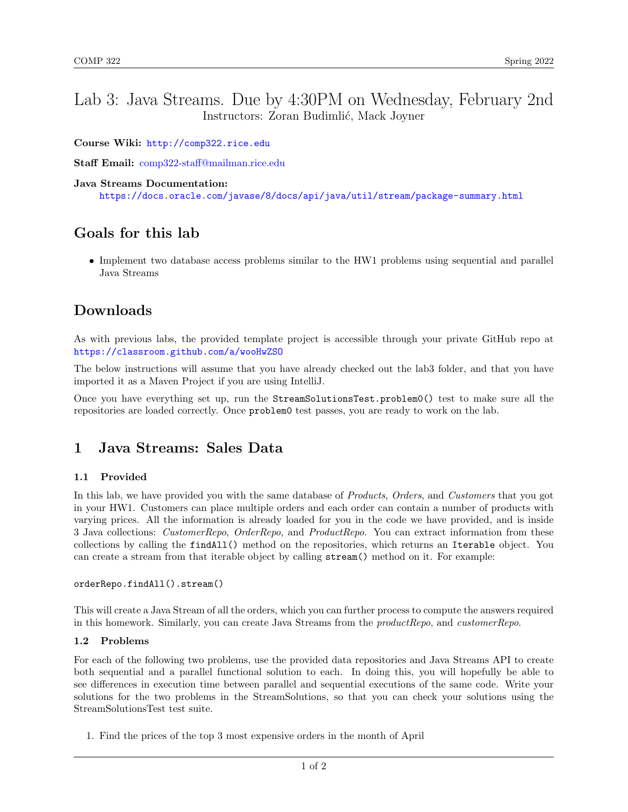## Lab 3: Java Streams. Due by 4:30PM on Wednesday, February 2nd Instructors: Zoran Budimlić, Mack Joyner

Course Wiki: <http://comp322.rice.edu>

Staff Email: [comp322-staff@mailman.rice.edu](mailto:comp322-staff@mailman.rice.edu)

### Java Streams Documentation:

<https://docs.oracle.com/javase/8/docs/api/java/util/stream/package-summary.html>

# Goals for this lab

• Implement two database access problems similar to the HW1 problems using sequential and parallel Java Streams

## Downloads

As with previous labs, the provided template project is accessible through your private GitHub repo at <https://classroom.github.com/a/wooHwZSO>

The below instructions will assume that you have already checked out the lab3 folder, and that you have imported it as a Maven Project if you are using IntelliJ.

Once you have everything set up, run the StreamSolutionsTest.problem0() test to make sure all the repositories are loaded correctly. Once problem0 test passes, you are ready to work on the lab.

### 1 Java Streams: Sales Data

### 1.1 Provided

In this lab, we have provided you with the same database of *Products*, Orders, and Customers that you got in your HW1. Customers can place multiple orders and each order can contain a number of products with varying prices. All the information is already loaded for you in the code we have provided, and is inside 3 Java collections: CustomerRepo, OrderRepo, and ProductRepo. You can extract information from these collections by calling the findAll() method on the repositories, which returns an Iterable object. You can create a stream from that iterable object by calling stream() method on it. For example:

### orderRepo.findAll().stream()

This will create a Java Stream of all the orders, which you can further process to compute the answers required in this homework. Similarly, you can create Java Streams from the productRepo, and customerRepo.

### 1.2 Problems

For each of the following two problems, use the provided data repositories and Java Streams API to create both sequential and a parallel functional solution to each. In doing this, you will hopefully be able to see differences in execution time between parallel and sequential executions of the same code. Write your solutions for the two problems in the StreamSolutions, so that you can check your solutions using the StreamSolutionsTest test suite.

1. Find the prices of the top 3 most expensive orders in the month of April